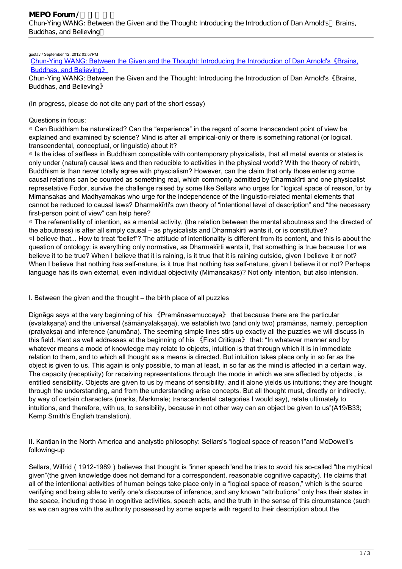## gustav / September 12, 2012 03:57PM

[Chun-Ying WANG: Between the Given and the Thought: Introducing the Introduction of Dan Arnold's《Brains,](http://mepopedia.comhttp://mepopedia.com/forum/read.php?143,24800,24800#msg-24800) [Buddhas, and Believing》](http://mepopedia.comhttp://mepopedia.com/forum/read.php?143,24800,24800#msg-24800)

Chun-Ying WANG: Between the Given and the Thought: Introducing the Introduction of Dan Arnold's 《Brains, Buddhas, and Believing》

(In progress, please do not cite any part of the short essay)

## Questions in focus:

◎ Can Buddhism be naturalized? Can the "experience" in the regard of some transcendent point of view be explained and examined by science? Mind is after all empirical-only or there is something rational (or logical, transcendental, conceptual, or linguistic) about it?

◎ Is the idea of selfless in Buddhism compatible with contemporary physicalists, that all metal events or states is only under (natural) causal laws and then reducible to activities in the physical world? With the theory of rebirth, Buddhism is than never totally agree with physcialism? However, can the claim that only those entering some causal relations can be counted as something real, which commonly admitted by Dharmakīrti and one physicalist represetative Fodor, survive the challenge raised by some like Sellars who urges for "logical space of reason,"or by Mimansakas and Madhyamakas who urge for the independence of the linguistic-related mental elements that cannot be reduced to causal laws? Dharmakīrti's own theory of "intentional level of description" and "the necessary first-person point of view" can help here?

◎ The referentiality of intention, as a mental activity, (the relation between the mental aboutness and the directed of the aboutness) is after all simply causal – as physicalists and Dharmakīrti wants it, or is constitutive? ◎I believe that... How to treat "belief"? The attitude of intentionality is different from its content, and this is about the question of ontology: is everything only normative, as Dharmakīrti wants it, that something is true because I or we believe it to be true? When I believe that it is raining, is it true that it is raining outside, given I believe it or not? When I believe that nothing has self-nature, is it true that nothing has self-nature, given I believe it or not? Perhaps language has its own external, even individual objectivity (Mimansakas)? Not only intention, but also intension.

## I. Between the given and the thought – the birth place of all puzzles

Dignāga says at the very beginning of his 《Pramānasamuccaya》 that because there are the particular (svalakṣaṇa) and the universal (sāmānyalakṣaṇa), we establish two (and only two) pramānas, namely, perception (pratyakṣa) and inference (anumāna). The seeming simple lines stirs up exactly all the puzzles we will discuss in this field. Kant as well addresses at the beginning of his 《First Critique》 that: "In whatever manner and by whatever means a mode of knowledge may relate to objects, intuition is that through which it is in immediate relation to them, and to which all thought as a means is directed. But intuition takes place only in so far as the object is given to us. This again is only possible, to man at least, in so far as the mind is affected in a certain way. The capacity (receptivity) for receiving representations through the mode in which we are affected by objects , is entitled sensibility. Objects are given to us by means of sensibility, and it alone yields us intuitions; they are thought through the understanding, and from the understanding arise concepts. But all thought must, directly or indirectly, by way of certain characters (marks, Merkmale; transcendental categories I would say), relate ultimately to intuitions, and therefore, with us, to sensibility, because in not other way can an object be given to us"(A19/B33; Kemp Smith's English translation).

II. Kantian in the North America and analystic philosophy: Sellars's "logical space of reason1"and McDowell's following-up

Sellars, Wilfrid (1912-1989) believes that thought is "inner speech"and he tries to avoid his so-called "the mythical given"(the given knowledge does not demand for a correspondent, reasonable cognitive capacity). He claims that all of the intentional activities of human beings take place only in a "logical space of reason," which is the source verifying and being able to verify one's discourse of inference, and any known "attributions" only has their states in the space, including those in cognitive activities, speech acts, and the truth in the sense of this circumstance (such as we can agree with the authority possessed by some experts with regard to their description about the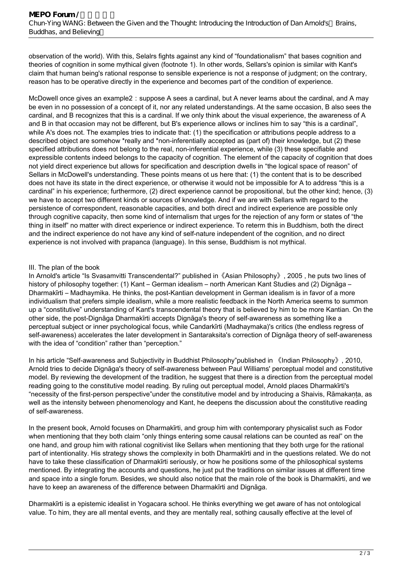observation of the world). With this, Selalrs fights against any kind of "foundationalism" that bases cognition and theories of cognition in some mythical given (footnote 1). In other words, Sellars's opinion is similar with Kant's claim that human being's rational response to sensible experience is not a response of judgment; on the contrary, reason has to be operative directly in the experience and becomes part of the condition of experience.

McDowell once gives an example2: suppose A sees a cardinal, but A never learns about the cardinal, and A may be even in no possession of a concept of it, nor any related understandings. At the same occasion, B also sees the cardinal, and B recognizes that this is a cardinal. If we only think about the visual experience, the awareness of A and B in that occasion may not be different, but B's experience allows or inclines him to say "this is a cardinal", while A's does not. The examples tries to indicate that: (1) the specification or attributions people address to a described object are somehow \*really and \*non-inferentially accepted as (part of) their knowledge, but (2) these specified attributions does not belong to the real, non-inferential experience, while (3) these specifiable and expressible contents indeed belongs to the capacity of cognition. The element of the capacity of cognition that does not yield direct experience but allows for specification and description dwells in "the logical space of reason" of Sellars in McDowell's understanding. These points means ot us here that: (1) the content that is to be described does not have its state in the direct experience, or otherwise it would not be impossible for A to address "this is a cardinal" in his experience; furthermore, (2) direct experience cannot be propositional, but the other kind; hence, (3) we have to accept two different kinds or sources of knowledge. And if we are with Sellars with regard to the persistence of correspondent, reasonable capacities, and both direct and indirect experience are possible only through cognitive capacity, then some kind of internalism that urges for the rejection of any form or states of "the thing in itself" no matter with direct experience or indirect experience. To reterm this in Buddhism, both the direct and the indirect experience do not have any kind of self-nature independent of the cognition, and no direct experience is not involved with prapanca (language). In this sense, Buddhism is not mythical.

## III. The plan of the book

In Arnold's article "Is Svasamvitti Transcendental?" published in《Asian Philosophy》, 2005 , he puts two lines of history of philosophy together: (1) Kant – German idealism – north American Kant Studies and (2) Dignāga – Dharmakīrti – Madhaymika. He thinks, the post-Kantian development in German idealism is in favor of a more individualism that prefers simple idealism, while a more realistic feedback in the North America seems to summon up a "constitutive" understanding of Kant's transcendental theory that is believed by him to be more Kantian. On the other side, the post-Dignāga Dharmakīrti accepts Dignāga's theory of self-awareness as something like a perceptual subject or inner psychological focus, while Candarkīrti (Madhaymaka)'s critics (the endless regress of self-awareness) accelerates the later development in Santaraksita's correction of Dignāga theory of self-awareness with the idea of "condition" rather than "perception."

In his article "Self-awareness and Subjectivity in Buddhist Philosophy"published in 《Indian Philosophy》, 2010, Arnold tries to decide Dignāga's theory of self-awareness between Paul Williams' perceptual model and constitutive model. By reviewing the development of the tradition, he suggest that there is a direction from the perceptual model reading going to the constitutive model reading. By ruling out perceptual model, Arnold places Dharmakīrti's "necessity of the first-person perspective"under the constitutive model and by introducing a Shaivis, Rāmakaṇṭa, as well as the intensity between phenomenology and Kant, he deepens the discussion about the constitutive reading of self-awareness.

In the present book, Arnold focuses on Dharmakīrti, and group him with contemporary physicalist such as Fodor when mentioning that they both claim "only things entering some causal relations can be counted as real" on the one hand, and group him with rational cognitivist like Sellars when mentioning that they both urge for the rational part of intentionality. His strategy shows the complexity in both Dharmakīrti and in the questions related. We do not have to take these classification of Dharmakīrti seriously, or how he positions some of the philosophical systems mentioned. By integrating the accounts and questions, he just put the traditions on similar issues at different time and space into a single forum. Besides, we should also notice that the main role of the book is Dharmakīrti, and we have to keep an awareness of the difference between Dharmakīrti and Dignāga.

Dharmakīrti is a epistemic idealist in Yogacara school. He thinks everything we get aware of has not ontological value. To him, they are all mental events, and they are mentally real, sothing causally effective at the level of